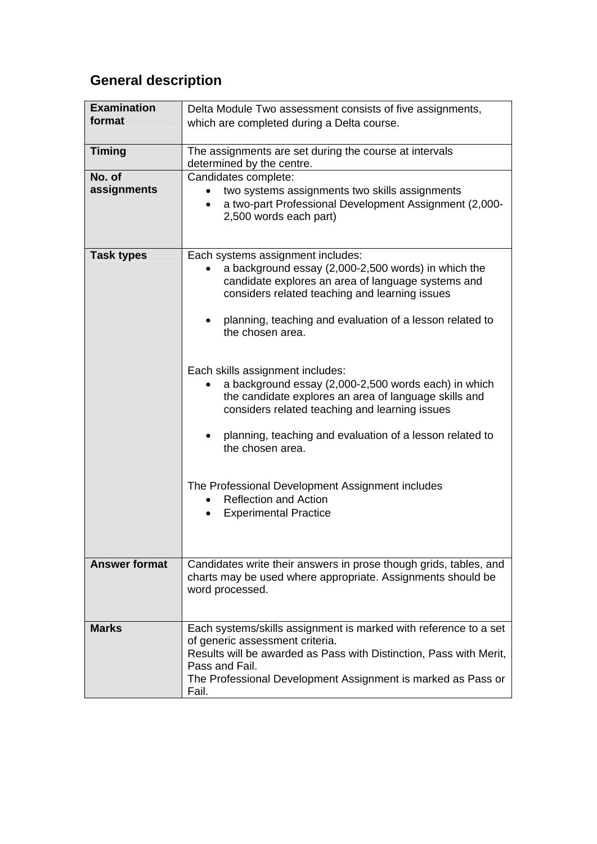## **General description**

| <b>Examination</b>   | Delta Module Two assessment consists of five assignments,                                                                                                                                                                                                            |  |
|----------------------|----------------------------------------------------------------------------------------------------------------------------------------------------------------------------------------------------------------------------------------------------------------------|--|
| format               | which are completed during a Delta course.                                                                                                                                                                                                                           |  |
|                      |                                                                                                                                                                                                                                                                      |  |
| <b>Timing</b>        | The assignments are set during the course at intervals<br>determined by the centre.                                                                                                                                                                                  |  |
| No. of               | Candidates complete:                                                                                                                                                                                                                                                 |  |
| assignments          | two systems assignments two skills assignments<br>a two-part Professional Development Assignment (2,000-<br>2,500 words each part)                                                                                                                                   |  |
| <b>Task types</b>    | Each systems assignment includes:                                                                                                                                                                                                                                    |  |
|                      | a background essay (2,000-2,500 words) in which the<br>candidate explores an area of language systems and<br>considers related teaching and learning issues                                                                                                          |  |
|                      | planning, teaching and evaluation of a lesson related to<br>the chosen area.                                                                                                                                                                                         |  |
|                      | Each skills assignment includes:                                                                                                                                                                                                                                     |  |
|                      | a background essay (2,000-2,500 words each) in which<br>the candidate explores an area of language skills and<br>considers related teaching and learning issues                                                                                                      |  |
|                      | planning, teaching and evaluation of a lesson related to<br>the chosen area.                                                                                                                                                                                         |  |
|                      | The Professional Development Assignment includes<br><b>Reflection and Action</b><br><b>Experimental Practice</b><br>$\bullet$                                                                                                                                        |  |
| <b>Answer format</b> |                                                                                                                                                                                                                                                                      |  |
|                      | Candidates write their answers in prose though grids, tables, and<br>charts may be used where appropriate. Assignments should be<br>word processed.                                                                                                                  |  |
| <b>Marks</b>         | Each systems/skills assignment is marked with reference to a set<br>of generic assessment criteria.<br>Results will be awarded as Pass with Distinction, Pass with Merit,<br>Pass and Fail.<br>The Professional Development Assignment is marked as Pass or<br>Fail. |  |